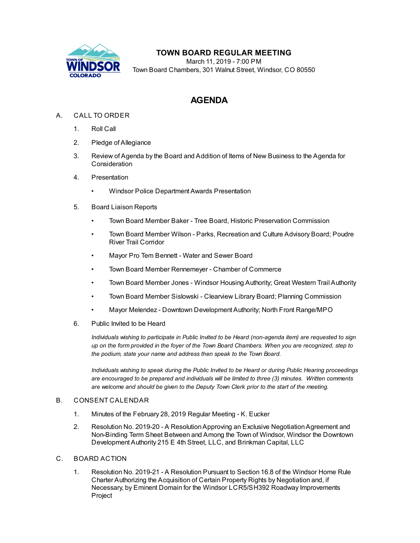

# **TOWN BOARD REGULAR MEETING**

March 11, 2019 - 7:00 PM Town Board Chambers, 301 Walnut Street, Windsor, CO 80550

# **AGENDA**

## A. CALL TO ORDER

- 1. Roll Call
- 2. Pledge of Allegiance
- 3. Review of Agenda by the Board and Addition of Items of New Business to the Agenda for Consideration
- 4. Presentation
	- Windsor Police Department Awards [Presentation](file:///C:/Windows/TEMP/CoverSheet.aspx?ItemID=255&MeetingID=31)
- 5. Board Liaison Reports
	- Town Board Member Baker Tree Board, Historic Preservation Commission
	- Town Board Member Wilson Parks, Recreation and Culture Advisory Board; Poudre River Trail Corridor
	- Mayor Pro Tem Bennett Water and Sewer Board
	- Town Board Member Rennemeyer Chamber of Commerce
	- Town Board Member Jones Windsor Housing Authority; Great Western Trail Authority
	- Town Board Member Sislowski Clearview Library Board; Planning Commission
	- Mayor Melendez Downtown Development Authority; North Front Range/MPO
- 6. Public Invited to be Heard

*Individuals wishing to participate in Public Invited to be Heard (non-agenda item) are requested to sign* up on the form provided in the foyer of the Town Board Chambers. When you are recognized, step to *the podium, state your name and address then speak to the Town Board.*

*Individuals wishing to speak during the Public Invited to be Heard or during Public Hearing proceedings are encouraged to be prepared and individuals will be limited to three (3) minutes. Written comments are welcome and should be given to the Deputy Town Clerk prior to the start of the meeting.*

#### B. CONSENT CALENDAR

- 1. Minutes of the [February](file:///C:/Windows/TEMP/CoverSheet.aspx?ItemID=256&MeetingID=31) 28, 2019 Regular Meeting K. Eucker
- 2. Resolution No. 2019-20 A ResolutionApproving an Exclusive [NegotiationAgreement](file:///C:/Windows/TEMP/CoverSheet.aspx?ItemID=251&MeetingID=31) and Non-Binding Term Sheet Between and Among the Town of Windsor, Windsor the Downtown Development Authority 215 E 4th Street, LLC, and Brinkman Capital, LLC
- C. BOARD ACTION
	- 1. Resolution No. 2019-21 A Resolution Pursuant to Section 16.8 of the Windsor Home Rule Charter Authorizing the Acquisition of Certain Property Rights by Negotiation and, if Necessary, by Eminent Domain for the Windsor [LCR5/SH392](file:///C:/Windows/TEMP/CoverSheet.aspx?ItemID=249&MeetingID=31) Roadway Improvements Project